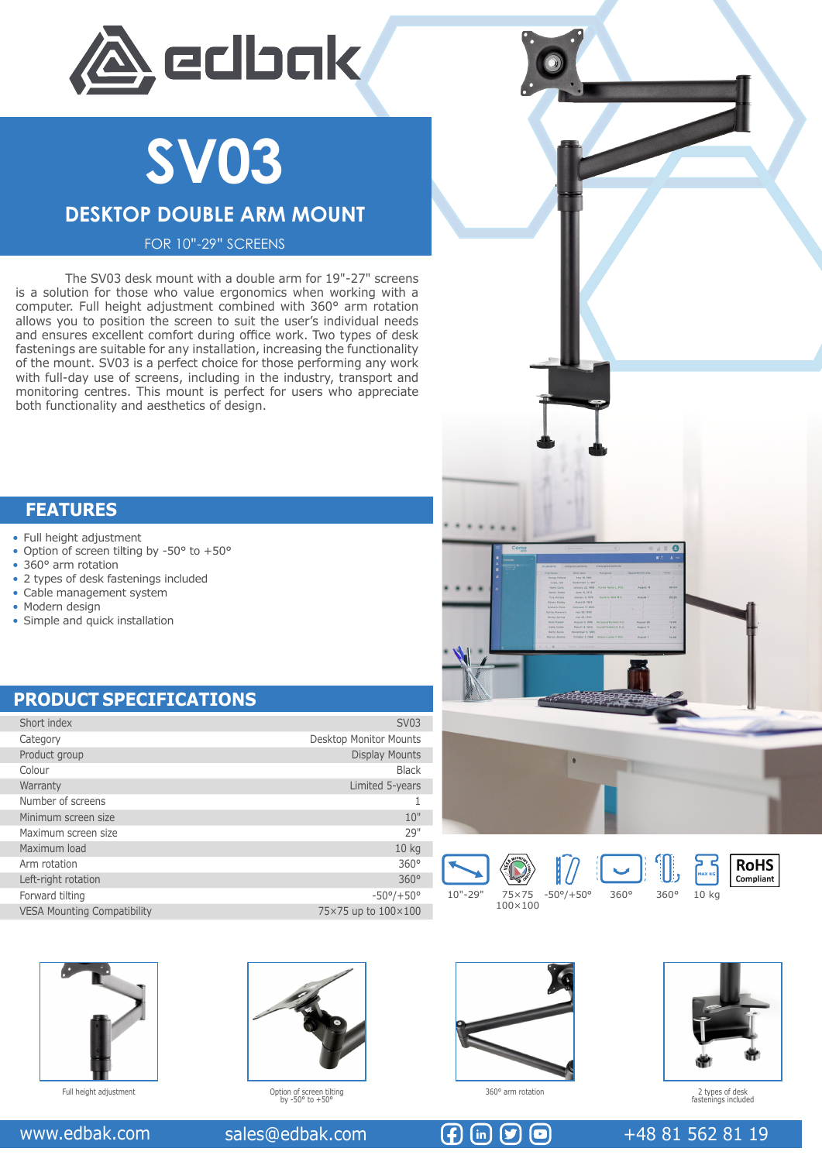

**SV03**

# **DESKTOP DOUBLE ARM MOUNT**

FOR 10"-29" SCREENS

The SV03 desk mount with a double arm for 19"-27" screens is a solution for those who value ergonomics when working with a computer. Full height adjustment combined with 360° arm rotation allows you to position the screen to suit the user's individual needs and ensures excellent comfort during office work. Two types of desk fastenings are suitable for any installation, increasing the functionality of the mount. SV03 is a perfect choice for those performing any work with full-day use of screens, including in the industry, transport and monitoring centres. This mount is perfect for users who appreciate both functionality and aesthetics of design.

### **FEATURES**

- Full height adjustment
- Option of screen tilting by -50° to +50°
- 360° arm rotation
- 2 types of desk fastenings included
- Cable management system
- Modern design
- Simple and quick installation

# **PRODUCT SPECIFICATIONS**

| Short index                        | <b>SV03</b>                   |
|------------------------------------|-------------------------------|
| Category                           | <b>Desktop Monitor Mounts</b> |
| Product group                      | <b>Display Mounts</b>         |
| Colour                             | <b>Black</b>                  |
| Warranty                           | Limited 5-years               |
| Number of screens                  |                               |
| Minimum screen size                | 10"                           |
| Maximum screen size                | 29"                           |
| Maximum load                       | 10 <sub>kg</sub>              |
| Arm rotation                       | $360^\circ$                   |
| Left-right rotation                | 360°                          |
| Forward tilting                    | $-50^{\circ}/+50^{\circ}$     |
| <b>VESA Mounting Compatibility</b> | 75×75 up to 100×100           |





10"-29" 75×75



100×100



**MAX KG**







Option of screen tilting by -50° to +50° Full height adjustment 360° arm rotation





2 types of desk fastenings included

### www.edbak.com sales@edbak.com  $\left( \bigoplus \left( \infty \right)$   $\left( \infty \right)$   $\left( \infty \right)$   $+48815628119$